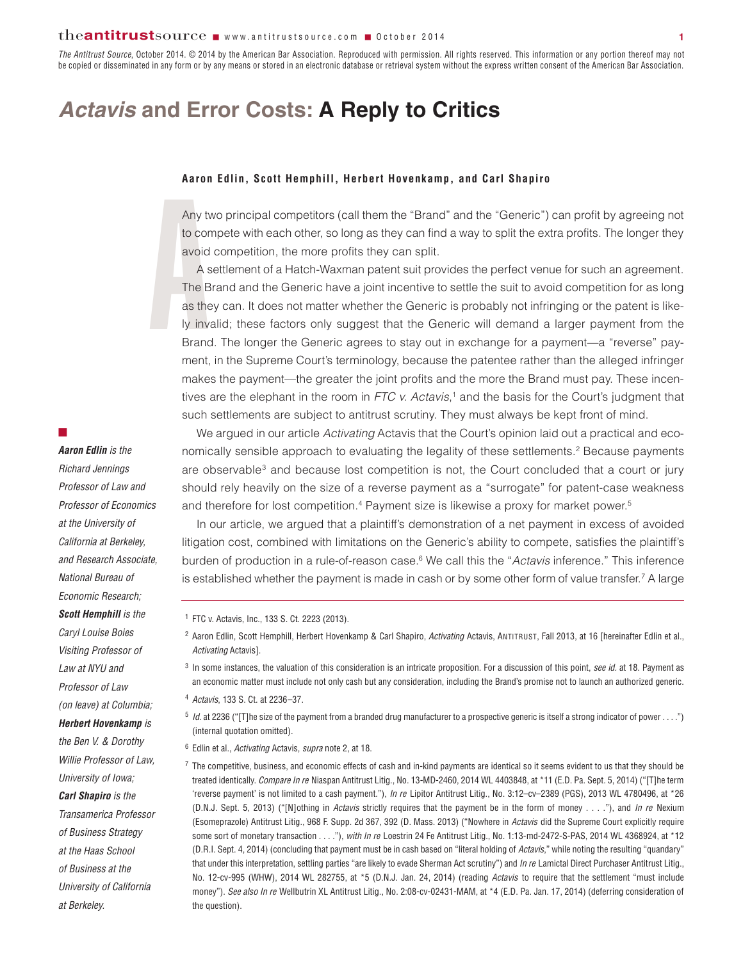*The Antitrust Source*, October 2014. © 2014 by the American Bar Association. Reproduced with permission. All rights reserved. This information or any portion thereof may not be copied or disseminated in any form or by any means or stored in an electronic database or retrieval system without the express written consent of the American Bar Association.

# *Actavis* **and Error Costs: A Reply to Critics**

## **Aaron Edlin, Scott Hemphill, Herbert Hovenkamp, and Carl Shapiro**

Any two principal competitors (call them the "Brand" and the "Generic") can profit by agreeing not to compete with each other, so long as they can find a way to split the extra profits. The longer they avoid competition, the more profits they can split.

Aaror<br>Any to<br>to cor<br>avoid<br>A s<br>The E<br>as the<br>Iy inv<br>Brand A settlement of a Hatch-Waxman patent suit provides the perfect venue for such an agreement. The Brand and the Generic have a joint incentive to settle the suit to avoid competition for as long as they can. It does not matter whether the Generic is probably not infringing or the patent is likely invalid; these factors only suggest that the Generic will demand a larger payment from the Brand. The longer the Generic agrees to stay out in exchange for a payment—a "reverse" payment, in the Supreme Court's terminology, because the patentee rather than the alleged infringer makes the payment—the greater the joint profits and the more the Brand must pay. These incentives are the elephant in the room in FTC v. Actavis,<sup>1</sup> and the basis for the Court's judgment that such settlements are subject to antitrust scrutiny. They must always be kept front of mind.

*Aaron Edlin is the Richard Jennings Professor of Law and Professor of Economics at the University of California at Berkeley, and Research Associate, National Bureau of Economic Research; Scott Hemphill is the Caryl Louise Boies Visiting Professor of Law at NYU and Professor of Law (on leave) at Columbia; Herbert Hovenkamp is the Ben V. & Dorothy Willie Professor of Law, University of Iowa; Carl Shapiro is the Transamerica Professor of Business Strategy at the Haas School of Business at the University of California*

*at Berkeley.* 

We argued in our article Activating Actavis that the Court's opinion laid out a practical and economically sensible approach to evaluating the legality of these settlements.<sup>2</sup> Because payments are observable<sup>3</sup> and because lost competition is not, the Court concluded that a court or jury should rely heavily on the size of a reverse payment as a "surrogate" for patent-case weakness and therefore for lost competition.<sup>4</sup> Payment size is likewise a proxy for market power.<sup>5</sup>

In our article, we argued that a plaintiff's demonstration of a net payment in excess of avoided litigation cost, combined with limitations on the Generic's ability to compete, satisfies the plaintiff's burden of production in a rule-of-reason case.<sup>6</sup> We call this the "Actavis inference." This inference is established whether the payment is made in cash or by some other form of value transfer.<sup>7</sup> A large

<sup>1</sup> FTC v. Actavis, Inc., 133 S. Ct. 2223 (2013).

- <sup>2</sup> Aaron Edlin, Scott Hemphill, Herbert Hovenkamp & Carl Shapiro, Activating Actavis, ANTITRUST, Fall 2013, at 16 [hereinafter Edlin et al., *Activating* Actavis].
- <sup>3</sup> In some instances, the valuation of this consideration is an intricate proposition. For a discussion of this point, *see id.* at 18. Payment as an economic matter must include not only cash but any consideration, including the Brand's promise not to launch an authorized generic.

<sup>4</sup> *Actavis*, 133 S. Ct. at 2236–37.

- <sup>5</sup> *Id.* at 2236 ("[T]he size of the payment from a branded drug manufacturer to a prospective generic is itself a strong indicator of power . . . .") (internal quotation omitted).
- <sup>6</sup> Edlin et al., *Activating* Actavis, *supra* note 2, at 18.
- $^7$  The competitive, business, and economic effects of cash and in-kind payments are identical so it seems evident to us that they should be treated identically. *Compare In re* Niaspan Antitrust Litig., No. 13-MD-2460, 2014 WL 4403848, at \*11 (E.D. Pa. Sept. 5, 2014) ("[T]he term 'reverse payment' is not limited to a cash payment."), *In re* Lipitor Antitrust Litig., No. 3:12–cv–2389 (PGS), 2013 WL 4780496, at \*26 (D.N.J. Sept. 5, 2013) ("[N]othing in *Actavis* strictly requires that the payment be in the form of money . . . ."), and *In re* Nexium (Esomeprazole) Antitrust Litig., 968 F. Supp. 2d 367, 392 (D. Mass. 2013) ("Nowhere in *Actavis* did the Supreme Court explicitly require some sort of monetary transaction . . . ."), *with In re* Loestrin 24 Fe Antitrust Litig., No. 1:13-md-2472-S-PAS, 2014 WL 4368924, at \*12 (D.R.I. Sept. 4, 2014) (concluding that payment must be in cash based on "literal holding of *Actavis*," while noting the resulting "quandary" that under this interpretation, settling parties "are likely to evade Sherman Act scrutiny") and *In re* Lamictal Direct Purchaser Antitrust Litig., No. 12-cv-995 (WHW), 2014 WL 282755, at \*5 (D.N.J. Jan. 24, 2014) (reading *Actavis* to require that the settlement "must include money"). *See also In re* Wellbutrin XL Antitrust Litig., No. 2:08-cv-02431-MAM, at \*4 (E.D. Pa. Jan. 17, 2014) (deferring consideration of the question).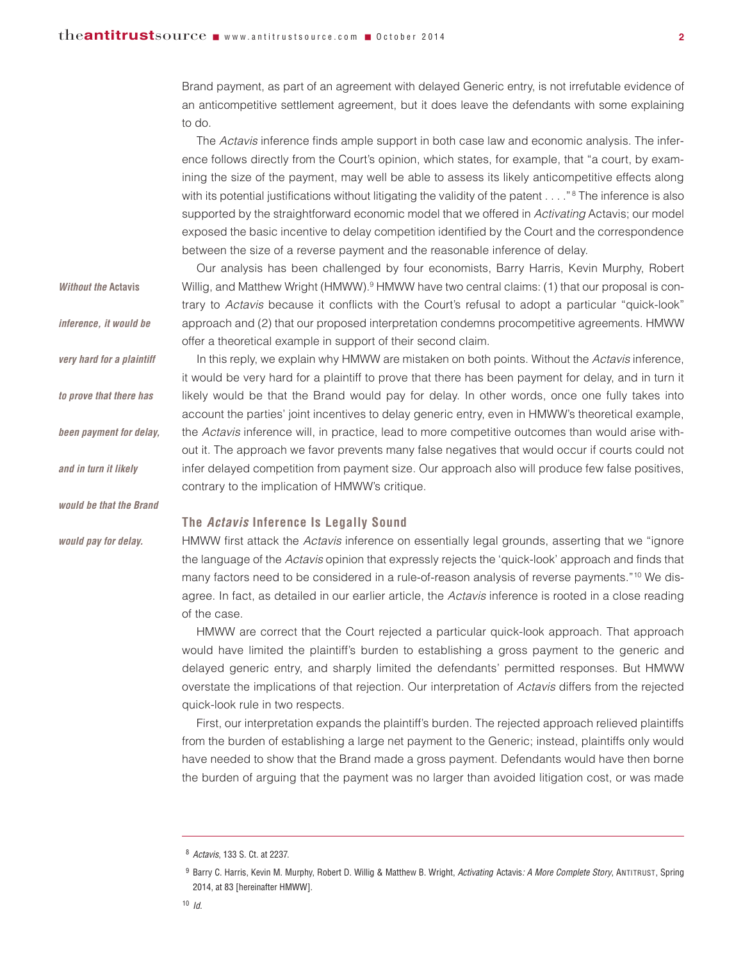*Without the* **Actavis**

*inference, it would be*

*very hard for a plaintiff*

*to prove that there has*

*been payment for delay,*

*would be that the Brand*

*would pay for delay.* 

*and in turn it likely*

Brand payment, as part of an agreement with delayed Generic entry, is not irrefutable evidence of an anticompetitive settlement agreement, but it does leave the defendants with some explaining to do.

The Actavis inference finds ample support in both case law and economic analysis. The inference follows directly from the Court's opinion, which states, for example, that "a court, by examining the size of the payment, may well be able to assess its likely anticompetitive effects along with its potential justifications without litigating the validity of the patent  $\dots$ ." <sup>8</sup> The inference is also supported by the straightforward economic model that we offered in Activating Actavis; our model exposed the basic incentive to delay competition identified by the Court and the correspondence between the size of a reverse payment and the reasonable inference of delay.

Our analysis has been challenged by four economists, Barry Harris, Kevin Murphy, Robert Willig, and Matthew Wright (HMWW).<sup>9</sup> HMWW have two central claims: (1) that our proposal is contrary to Actavis because it conflicts with the Court's refusal to adopt a particular "quick-look" approach and (2) that our proposed interpretation condemns procompetitive agreements. HMWW offer a theoretical example in support of their second claim.

In this reply, we explain why HMWW are mistaken on both points. Without the Actavis inference, it would be very hard for a plaintiff to prove that there has been payment for delay, and in turn it likely would be that the Brand would pay for delay. In other words, once one fully takes into account the parties' joint incentives to delay generic entry, even in HMWW's theoretical example, the Actavis inference will, in practice, lead to more competitive outcomes than would arise without it. The approach we favor prevents many false negatives that would occur if courts could not infer delayed competition from payment size. Our approach also will produce few false positives, contrary to the implication of HMWW's critique.

# **The** *Actavis* **Inference Is Legally Sound**

HMWW first attack the Actavis inference on essentially legal grounds, asserting that we "ignore the language of the Actavis opinion that expressly rejects the 'quick-look' approach and finds that many factors need to be considered in a rule-of-reason analysis of reverse payments."10 We disagree. In fact, as detailed in our earlier article, the Actavis inference is rooted in a close reading of the case.

HMWW are correct that the Court rejected a particular quick-look approach. That approach would have limited the plaintiff's burden to establishing a gross payment to the generic and delayed generic entry, and sharply limited the defendants' permitted responses. But HMWW overstate the implications of that rejection. Our interpretation of Actavis differs from the rejected quick-look rule in two respects.

First, our interpretation expands the plaintiff's burden. The rejected approach relieved plaintiffs from the burden of establishing a large net payment to the Generic; instead, plaintiffs only would have needed to show that the Brand made a gross payment. Defendants would have then borne the burden of arguing that the payment was no larger than avoided litigation cost, or was made

<sup>8</sup> *Actavis*, 133 S. Ct. at 2237.

<sup>9</sup> Barry C. Harris, Kevin M. Murphy, Robert D. Willig & Matthew B. Wright, *Activating* Actavis*: A More Complete Story*, ANTITRUST, Spring 2014, at 83 [hereinafter HMWW].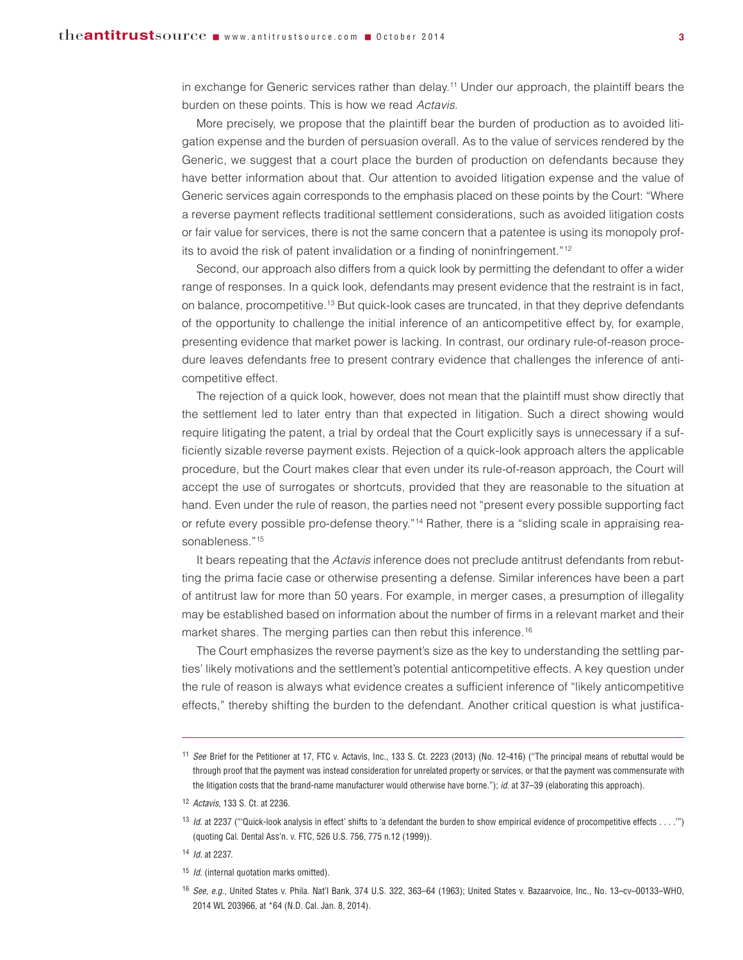in exchange for Generic services rather than delay.<sup>11</sup> Under our approach, the plaintiff bears the burden on these points. This is how we read Actavis.

More precisely, we propose that the plaintiff bear the burden of production as to avoided litigation expense and the burden of persuasion overall. As to the value of services rendered by the Generic, we suggest that a court place the burden of production on defendants because they have better information about that. Our attention to avoided litigation expense and the value of Generic services again corresponds to the emphasis placed on these points by the Court: "Where a reverse payment reflects traditional settlement considerations, such as avoided litigation costs or fair value for services, there is not the same concern that a patentee is using its monopoly profits to avoid the risk of patent invalidation or a finding of noninfringement."12

Second, our approach also differs from a quick look by permitting the defendant to offer a wider range of responses. In a quick look, defendants may present evidence that the restraint is in fact, on balance, procompetitive.13 But quick-look cases are truncated, in that they deprive defendants of the opportunity to challenge the initial inference of an anticompetitive effect by, for example, presenting evidence that market power is lacking. In contrast, our ordinary rule-of-reason procedure leaves defendants free to present contrary evidence that challenges the inference of anticompetitive effect.

The rejection of a quick look, however, does not mean that the plaintiff must show directly that the settlement led to later entry than that expected in litigation. Such a direct showing would require litigating the patent, a trial by ordeal that the Court explicitly says is unnecessary if a sufficiently sizable reverse payment exists. Rejection of a quick-look approach alters the applicable procedure, but the Court makes clear that even under its rule-of-reason approach, the Court will accept the use of surrogates or shortcuts, provided that they are reasonable to the situation at hand. Even under the rule of reason, the parties need not "present every possible supporting fact or refute every possible pro-defense theory."14 Rather, there is a "sliding scale in appraising reasonableness."15

It bears repeating that the *Actavis* inference does not preclude antitrust defendants from rebutting the prima facie case or otherwise presenting a defense. Similar inferences have been a part of antitrust law for more than 50 years. For example, in merger cases, a presumption of illegality may be established based on information about the number of firms in a relevant market and their market shares. The merging parties can then rebut this inference.<sup>16</sup>

The Court emphasizes the reverse payment's size as the key to understanding the settling parties' likely motivations and the settlement's potential anticompetitive effects. A key question under the rule of reason is always what evidence creates a sufficient inference of "likely anticompetitive effects," thereby shifting the burden to the defendant. Another critical question is what justifica-

<sup>11</sup> *See* Brief for the Petitioner at 17, FTC v. Actavis, Inc., 133 S. Ct. 2223 (2013) (No. 12-416) ("The principal means of rebuttal would be through proof that the payment was instead consideration for unrelated property or services, or that the payment was commensurate with the litigation costs that the brand-name manufacturer would otherwise have borne."); *id.* at 37–39 (elaborating this approach).

<sup>12</sup> *Actavis*, 133 S. Ct. at 2236.

<sup>13</sup> *Id.* at 2237 ("'Quick-look analysis in effect' shifts to 'a defendant the burden to show empirical evidence of procompetitive effects . . . .'") (quoting Cal. Dental Ass'n. v. FTC, 526 U.S. 756, 775 n.12 (1999)).

<sup>14</sup> *Id.* at 2237.

<sup>15</sup> *Id.* (internal quotation marks omitted).

<sup>16</sup> *See, e.g.*, United States v. Phila. Nat'l Bank, 374 U.S. 322, 363–64 (1963); United States v. Bazaarvoice, Inc., No. 13–cv–00133–WHO, 2014 WL 203966, at \*64 (N.D. Cal. Jan. 8, 2014).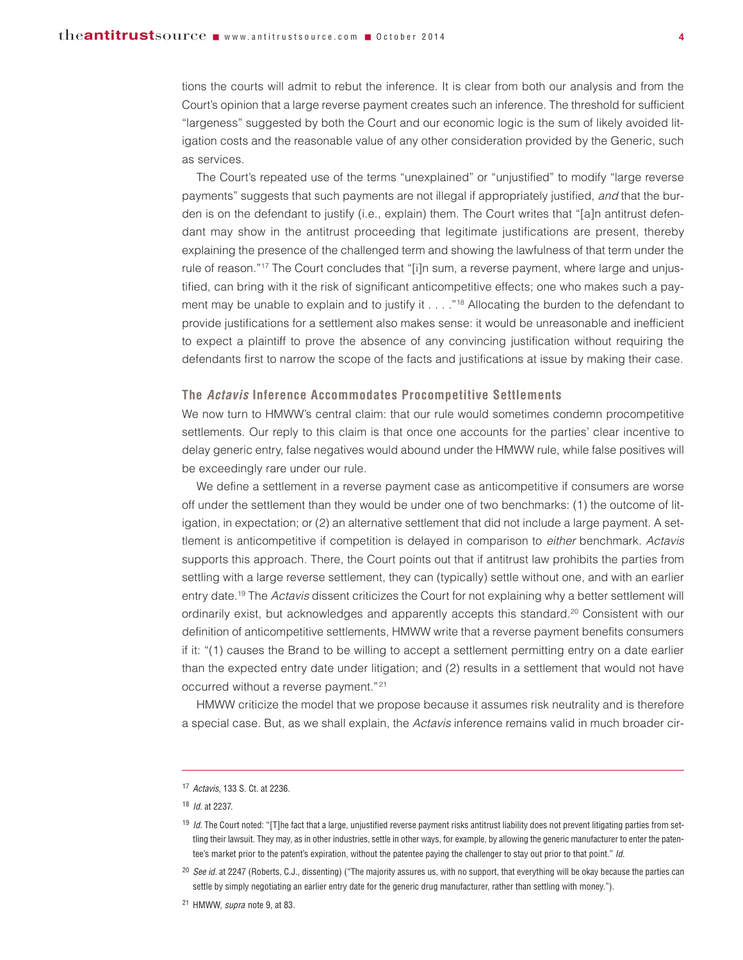tions the courts will admit to rebut the inference. It is clear from both our analysis and from the Court's opinion that a large reverse payment creates such an inference. The threshold for sufficient "largeness" suggested by both the Court and our economic logic is the sum of likely avoided litigation costs and the reasonable value of any other consideration provided by the Generic, such as services.

The Court's repeated use of the terms "unexplained" or "unjustified" to modify "large reverse payments" suggests that such payments are not illegal if appropriately justified, and that the burden is on the defendant to justify (i.e., explain) them. The Court writes that "[a]n antitrust defendant may show in the antitrust proceeding that legitimate justifications are present, thereby explaining the presence of the challenged term and showing the lawfulness of that term under the rule of reason."<sup>17</sup> The Court concludes that "[i]n sum, a reverse payment, where large and unjustified, can bring with it the risk of significant anticompetitive effects; one who makes such a payment may be unable to explain and to justify it . . . . "<sup>18</sup> Allocating the burden to the defendant to provide justifications for a settlement also makes sense: it would be unreasonable and inefficient to expect a plaintiff to prove the absence of any convincing justification without requiring the defendants first to narrow the scope of the facts and justifications at issue by making their case.

## **The** *Actavis* **Inference Accommodates Procompetitive Settlements**

We now turn to HMWW's central claim: that our rule would sometimes condemn procompetitive settlements. Our reply to this claim is that once one accounts for the parties' clear incentive to delay generic entry, false negatives would abound under the HMWW rule, while false positives will be exceedingly rare under our rule.

We define a settlement in a reverse payment case as anticompetitive if consumers are worse off under the settlement than they would be under one of two benchmarks: (1) the outcome of litigation, in expectation; or (2) an alternative settlement that did not include a large payment. A settlement is anticompetitive if competition is delayed in comparison to either benchmark. Actavis supports this approach. There, the Court points out that if antitrust law prohibits the parties from settling with a large reverse settlement, they can (typically) settle without one, and with an earlier entry date.19 The Actavis dissent criticizes the Court for not explaining why a better settlement will ordinarily exist, but acknowledges and apparently accepts this standard.20 Consistent with our definition of anticompetitive settlements, HMWW write that a reverse payment benefits consumers if it: "(1) causes the Brand to be willing to accept a settlement permitting entry on a date earlier than the expected entry date under litigation; and (2) results in a settlement that would not have occurred without a reverse payment."21

HMWW criticize the model that we propose because it assumes risk neutrality and is therefore a special case. But, as we shall explain, the Actavis inference remains valid in much broader cir-

<sup>17</sup> *Actavis*, 133 S. Ct. at 2236.

<sup>18</sup> *Id.* at 2237.

<sup>&</sup>lt;sup>19</sup> *Id.* The Court noted: "[T]he fact that a large, unjustified reverse payment risks antitrust liability does not prevent litigating parties from settling their lawsuit. They may, as in other industries, settle in other ways, for example, by allowing the generic manufacturer to enter the patentee's market prior to the patent's expiration, without the patentee paying the challenger to stay out prior to that point." *Id.*

<sup>20</sup> *See id.* at 2247 (Roberts, C.J., dissenting) ("The majority assures us, with no support, that everything will be okay because the parties can settle by simply negotiating an earlier entry date for the generic drug manufacturer, rather than settling with money.").

<sup>21</sup> HMWW, *supra* note 9, at 83.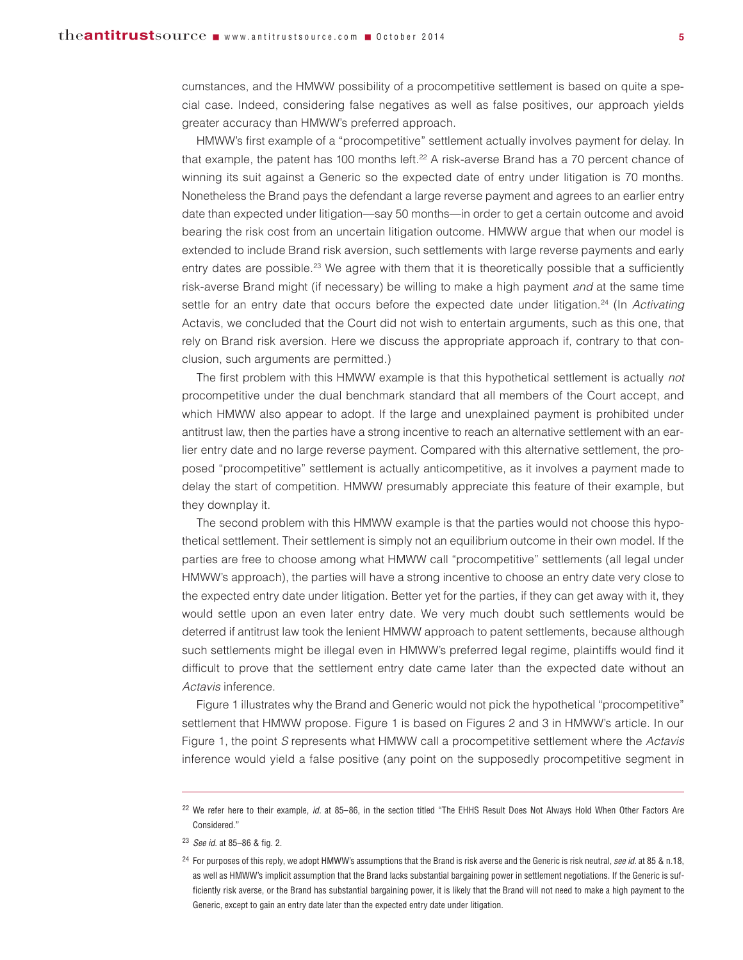cumstances, and the HMWW possibility of a procompetitive settlement is based on quite a special case. Indeed, considering false negatives as well as false positives, our approach yields greater accuracy than HMWW's preferred approach.

HMWW's first example of a "procompetitive" settlement actually involves payment for delay. In that example, the patent has 100 months left.<sup>22</sup> A risk-averse Brand has a 70 percent chance of winning its suit against a Generic so the expected date of entry under litigation is 70 months. Nonetheless the Brand pays the defendant a large reverse payment and agrees to an earlier entry date than expected under litigation—say 50 months—in order to get a certain outcome and avoid bearing the risk cost from an uncertain litigation outcome. HMWW argue that when our model is extended to include Brand risk aversion, such settlements with large reverse payments and early entry dates are possible.<sup>23</sup> We agree with them that it is theoretically possible that a sufficiently risk-averse Brand might (if necessary) be willing to make a high payment and at the same time settle for an entry date that occurs before the expected date under litigation.<sup>24</sup> (In Activating Actavis, we concluded that the Court did not wish to entertain arguments, such as this one, that rely on Brand risk aversion. Here we discuss the appropriate approach if, contrary to that conclusion, such arguments are permitted.)

The first problem with this HMWW example is that this hypothetical settlement is actually not procompetitive under the dual benchmark standard that all members of the Court accept, and which HMWW also appear to adopt. If the large and unexplained payment is prohibited under antitrust law, then the parties have a strong incentive to reach an alternative settlement with an earlier entry date and no large reverse payment. Compared with this alternative settlement, the proposed "procompetitive" settlement is actually anticompetitive, as it involves a payment made to delay the start of competition. HMWW presumably appreciate this feature of their example, but they downplay it.

The second problem with this HMWW example is that the parties would not choose this hypothetical settlement. Their settlement is simply not an equilibrium outcome in their own model. If the parties are free to choose among what HMWW call "procompetitive" settlements (all legal under HMWW's approach), the parties will have a strong incentive to choose an entry date very close to the expected entry date under litigation. Better yet for the parties, if they can get away with it, they would settle upon an even later entry date. We very much doubt such settlements would be deterred if antitrust law took the lenient HMWW approach to patent settlements, because although such settlements might be illegal even in HMWW's preferred legal regime, plaintiffs would find it difficult to prove that the settlement entry date came later than the expected date without an Actavis inference.

Figure 1 illustrates why the Brand and Generic would not pick the hypothetical "procompetitive" settlement that HMWW propose. Figure 1 is based on Figures 2 and 3 in HMWW's article. In our Figure 1, the point S represents what HMWW call a procompetitive settlement where the Actavis inference would yield a false positive (any point on the supposedly procompetitive segment in

<sup>22</sup> We refer here to their example, *id.* at 85–86, in the section titled "The EHHS Result Does Not Always Hold When Other Factors Are Considered."

<sup>23</sup> *See id.* at 85–86 & fig. 2.

<sup>24</sup> For purposes of this reply, we adopt HMWW's assumptions that the Brand is risk averse and the Generic is risk neutral, *see id.* at 85 & n.18, as well as HMWW's implicit assumption that the Brand lacks substantial bargaining power in settlement negotiations. If the Generic is sufficiently risk averse, or the Brand has substantial bargaining power, it is likely that the Brand will not need to make a high payment to the Generic, except to gain an entry date later than the expected entry date under litigation.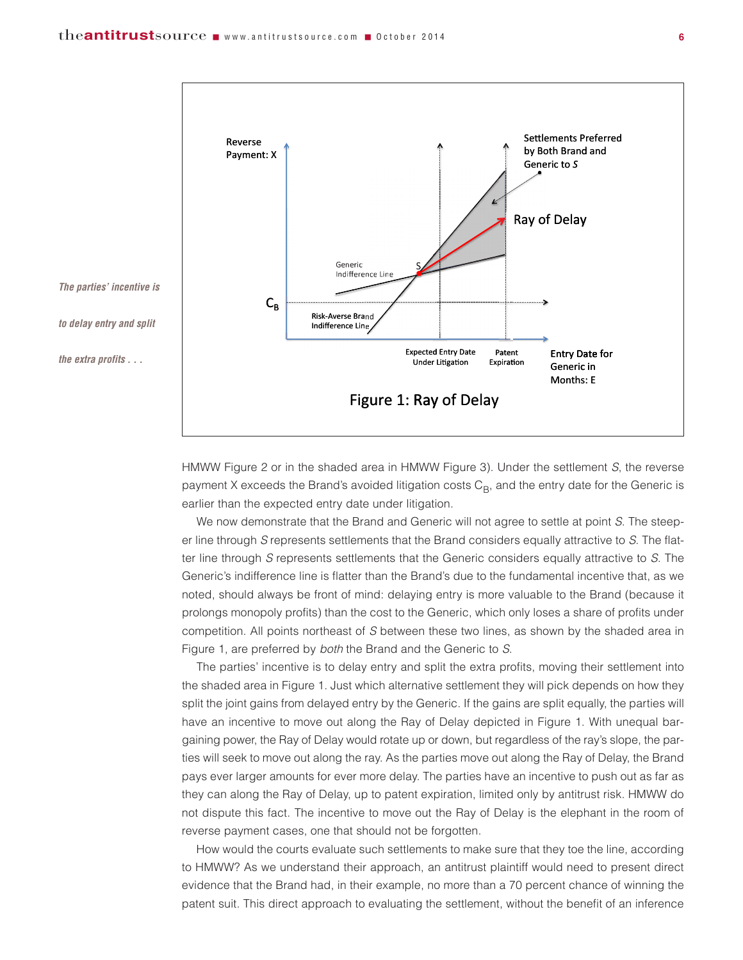

HMWW Figure 2 or in the shaded area in HMWW Figure 3). Under the settlement S, the reverse payment X exceeds the Brand's avoided litigation costs  $C_B$ , and the entry date for the Generic is earlier than the expected entry date under litigation.

We now demonstrate that the Brand and Generic will not agree to settle at point S. The steeper line through S represents settlements that the Brand considers equally attractive to S. The flatter line through S represents settlements that the Generic considers equally attractive to S. The Generic's indifference line is flatter than the Brand's due to the fundamental incentive that, as we noted, should always be front of mind: delaying entry is more valuable to the Brand (because it prolongs monopoly profits) than the cost to the Generic, which only loses a share of profits under competition. All points northeast of S between these two lines, as shown by the shaded area in Figure 1, are preferred by both the Brand and the Generic to S.

The parties' incentive is to delay entry and split the extra profits, moving their settlement into the shaded area in Figure 1. Just which alternative settlement they will pick depends on how they split the joint gains from delayed entry by the Generic. If the gains are split equally, the parties will have an incentive to move out along the Ray of Delay depicted in Figure 1. With unequal bargaining power, the Ray of Delay would rotate up or down, but regardless of the ray's slope, the parties will seek to move out along the ray. As the parties move out along the Ray of Delay, the Brand pays ever larger amounts for ever more delay. The parties have an incentive to push out as far as they can along the Ray of Delay, up to patent expiration, limited only by antitrust risk. HMWW do not dispute this fact. The incentive to move out the Ray of Delay is the elephant in the room of reverse payment cases, one that should not be forgotten.

How would the courts evaluate such settlements to make sure that they toe the line, according to HMWW? As we understand their approach, an antitrust plaintiff would need to present direct evidence that the Brand had, in their example, no more than a 70 percent chance of winning the patent suit. This direct approach to evaluating the settlement, without the benefit of an inference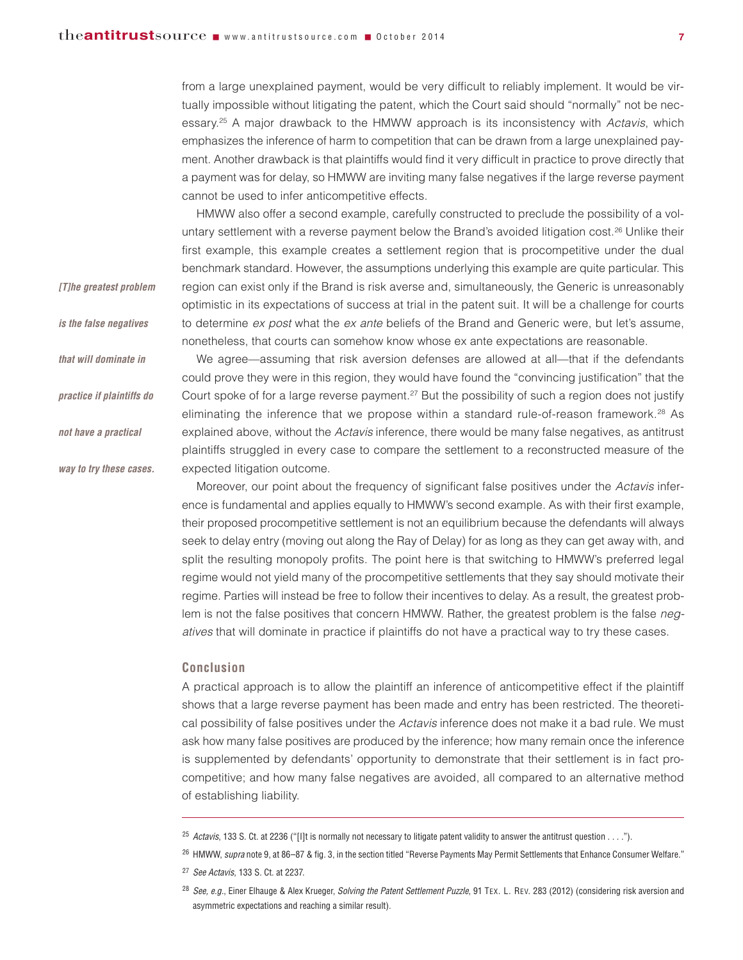from a large unexplained payment, would be very difficult to reliably implement. It would be virtually impossible without litigating the patent, which the Court said should "normally" not be necessary.<sup>25</sup> A major drawback to the HMWW approach is its inconsistency with Actavis, which emphasizes the inference of harm to competition that can be drawn from a large unexplained payment. Another drawback is that plaintiffs would find it very difficult in practice to prove directly that a payment was for delay, so HMWW are inviting many false negatives if the large reverse payment cannot be used to infer anticompetitive effects.

HMWW also offer a second example, carefully constructed to preclude the possibility of a voluntary settlement with a reverse payment below the Brand's avoided litigation cost.<sup>26</sup> Unlike their first example, this example creates a settlement region that is procompetitive under the dual benchmark standard. However, the assumptions underlying this example are quite particular. This region can exist only if the Brand is risk averse and, simultaneously, the Generic is unreasonably optimistic in its expectations of success at trial in the patent suit. It will be a challenge for courts to determine ex post what the ex ante beliefs of the Brand and Generic were, but let's assume, nonetheless, that courts can somehow know whose ex ante expectations are reasonable.

We agree—assuming that risk aversion defenses are allowed at all—that if the defendants

could prove they were in this region, they would have found the "convincing justification" that the Court spoke of for a large reverse payment.<sup>27</sup> But the possibility of such a region does not justify eliminating the inference that we propose within a standard rule-of-reason framework.<sup>28</sup> As explained above, without the Actavis inference, there would be many false negatives, as antitrust plaintiffs struggled in every case to compare the settlement to a reconstructed measure of the expected litigation outcome.

Moreover, our point about the frequency of significant false positives under the Actavis inference is fundamental and applies equally to HMWW's second example. As with their first example, their proposed procompetitive settlement is not an equilibrium because the defendants will always seek to delay entry (moving out along the Ray of Delay) for as long as they can get away with, and split the resulting monopoly profits. The point here is that switching to HMWW's preferred legal regime would not yield many of the procompetitive settlements that they say should motivate their regime. Parties will instead be free to follow their incentives to delay. As a result, the greatest problem is not the false positives that concern HMWW. Rather, the greatest problem is the false negatives that will dominate in practice if plaintiffs do not have a practical way to try these cases.

#### **Conclusion**

*[T]he greatest problem*

*is the false negatives*

*that will dominate in*

*practice if plaintiffs do*

*not have a practical*

*way to try these cases.* 

A practical approach is to allow the plaintiff an inference of anticompetitive effect if the plaintiff shows that a large reverse payment has been made and entry has been restricted. The theoretical possibility of false positives under the Actavis inference does not make it a bad rule. We must ask how many false positives are produced by the inference; how many remain once the inference is supplemented by defendants' opportunity to demonstrate that their settlement is in fact procompetitive; and how many false negatives are avoided, all compared to an alternative method of establishing liability.

- <sup>27</sup> *See Actavis*, 133 S. Ct. at 2237.
- <sup>28</sup> *See, e.g.*, Einer Elhauge & Alex Krueger, *Solving the Patent Settlement Puzzle*, 91 TEX. L. REV. 283 (2012) (considering risk aversion and asymmetric expectations and reaching a similar result).

<sup>25</sup> *Actavis*, 133 S. Ct. at 2236 ("[I]t is normally not necessary to litigate patent validity to answer the antitrust question . . . .").

<sup>&</sup>lt;sup>26</sup> HMWW, *supra* note 9, at 86–87 & fig. 3, in the section titled "Reverse Payments May Permit Settlements that Enhance Consumer Welfare."